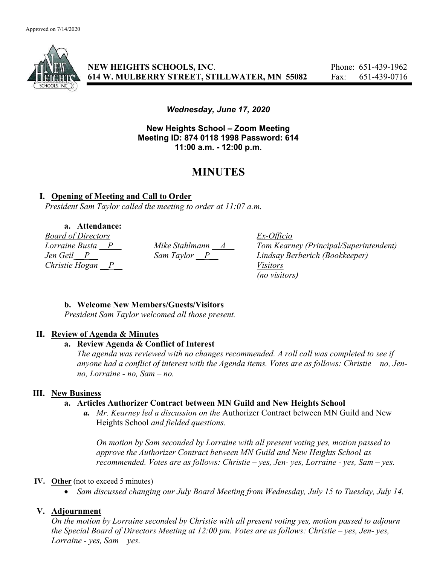

NEW HEIGHTS SCHOOLS, INC. Phone: 651-439-1962 614 W. MULBERRY STREET, STILLWATER, MN 55082 Fax: 651-439-0716

Wednesday, June 17, 2020

New Heights School – Zoom Meeting Meeting ID: 874 0118 1998 Password: 614 11:00 a.m. - 12:00 p.m.

# MINUTES

## I. Opening of Meeting and Call to Order

President Sam Taylor called the meeting to order at 11:07 a.m.

a. Attendance: **Board of Directors**<br>
Lorraine Busta <u>P</u> Mike Stahlmann <u>A</u> Tom Kearr Christie Hogan P Visitors

Lorraine Busta  $\underline{P}$  Mike Stahlmann  $\underline{A}$  Tom Kearney (Principal/Superintendent)<br>Jen Geil P Sam Taylor P Lindsay Berberich (Bookkeeper) Sam Taylor P Lindsay Berberich (Bookkeeper) (no visitors)

## b. Welcome New Members/Guests/Visitors

President Sam Taylor welcomed all those present.

#### II. Review of Agenda & Minutes

# a. Review Agenda & Conflict of Interest

The agenda was reviewed with no changes recommended. A roll call was completed to see if anyone had a conflict of interest with the Agenda items. Votes are as follows: Christie – no, Jenno, Lorraine - no, Sam – no.

## III. New Business

#### a. Articles Authorizer Contract between MN Guild and New Heights School

a. Mr. Kearney led a discussion on the Authorizer Contract between MN Guild and New Heights School and fielded questions.

On motion by Sam seconded by Lorraine with all present voting yes, motion passed to approve the Authorizer Contract between MN Guild and New Heights School as recommended. Votes are as follows: Christie – yes, Jen- yes, Lorraine - yes, Sam – yes.

#### IV. Other (not to exceed 5 minutes)

Sam discussed changing our July Board Meeting from Wednesday, July 15 to Tuesday, July 14.

## V. Adjournment

On the motion by Lorraine seconded by Christie with all present voting yes, motion passed to adjourn the Special Board of Directors Meeting at 12:00 pm. Votes are as follows: Christie – yes, Jen- yes, Lorraine - yes,  $Sam - yes$ .